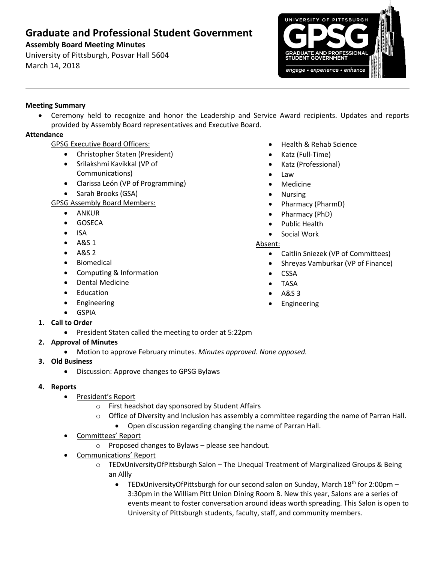# **Graduate and Professional Student Government**

## **Assembly Board Meeting Minutes**

University of Pittsburgh, Posvar Hall 5604 March 14, 2018



## **Meeting Summary**

 Ceremony held to recognize and honor the Leadership and Service Award recipients. Updates and reports provided by Assembly Board representatives and Executive Board.

## **Attendance**

## GPSG Executive Board Officers:

- Christopher Staten (President)
- Srilakshmi Kavikkal (VP of Communications)
- Clarissa León (VP of Programming)
- Sarah Brooks (GSA)

GPSG Assembly Board Members:

- ANKUR
- **•** GOSECA
- $\bullet$  ISA
- $-$  A&S 1
- $-$  A&S 2
- **•** Biomedical
- Computing & Information
- Dental Medicine
- Education
- **•** Engineering
- GSPIA
- **1. Call to Order**
	- President Staten called the meeting to order at 5:22pm

## **2. Approval of Minutes**

- Motion to approve February minutes. *Minutes approved. None opposed.*
- **3. Old Business**
	- Discussion: Approve changes to GPSG Bylaws

#### **4. Reports**

- President's Report
	- o First headshot day sponsored by Student Affairs
	- o Office of Diversity and Inclusion has assembly a committee regarding the name of Parran Hall.
		- Open discussion regarding changing the name of Parran Hall.
- Committees' Report
	- o Proposed changes to Bylaws please see handout.
- Communications' Report
	- o TEDxUniversityOfPittsburgh Salon The Unequal Treatment of Marginalized Groups & Being an Allly
		- **•** TEDxUniversityOfPittsburgh for our second salon on Sunday, March 18<sup>th</sup> for 2:00pm 3:30pm in the William Pitt Union Dining Room B. New this year, Salons are a series of events meant to foster conversation around ideas worth spreading. This Salon is open to University of Pittsburgh students, faculty, staff, and community members.
- Health & Rehab Science
- Katz (Full-Time)
- Katz (Professional)
- Law
- Medicine
- Nursing
- Pharmacy (PharmD)
- Pharmacy (PhD)
- Public Health
- Social Work

#### Absent:

- Caitlin Sniezek (VP of Committees)
- Shreyas Vamburkar (VP of Finance)
- CSSA
- TASA
- A&S 3
- Engineering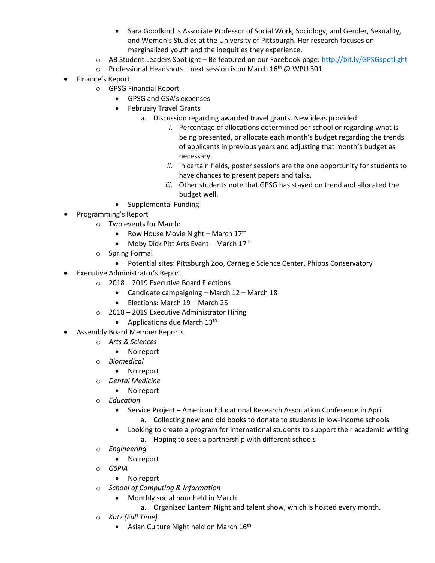- Sara Goodkind is Associate Professor of Social Work, Sociology, and Gender, Sexuality, and Women's Studies at the University of Pittsburgh. Her research focuses on marginalized youth and the inequities they experience.
- $\circ$  AB Student Leaders Spotlight Be featured on our Facebook page:<http://bit.ly/GPSGspotlight>
- $\circ$  Professional Headshots next session is on March 16<sup>th</sup> @ WPU 301
- Finance's Report
	- o GPSG Financial Report
		- GPSG and GSA's expenses
		- February Travel Grants
			- a. Discussion regarding awarded travel grants. New ideas provided:
				- *i.* Percentage of allocations determined per school or regarding what is being presented, or allocate each month's budget regarding the trends of applicants in previous years and adjusting that month's budget as necessary.
				- *ii.* In certain fields, poster sessions are the one opportunity for students to have chances to present papers and talks.
				- *iii.* Other students note that GPSG has stayed on trend and allocated the budget well.
		- Supplemental Funding
- Programming's Report
	- o Two events for March:
		- Row House Movie Night March  $17<sup>th</sup>$
		- $\bullet$  Moby Dick Pitt Arts Event March 17<sup>th</sup>
	- o Spring Formal
		- Potential sites: Pittsburgh Zoo, Carnegie Science Center, Phipps Conservatory
- Executive Administrator's Report
	- o 2018 2019 Executive Board Elections
		- Candidate campaigning March 12 March 18
		- Elections: March 19 March 25
	- o 2018 2019 Executive Administrator Hiring
		- Applications due March  $13<sup>th</sup>$
- Assembly Board Member Reports
	- o *Arts & Sciences*
		- No report
	- o *Biomedical*
		- No report
	- o *Dental Medicine*
		- No report
	- o *Education*
		- Service Project American Educational Research Association Conference in April a. Collecting new and old books to donate to students in low-income schools
		- Looking to create a program for international students to support their academic writing
			- a. Hoping to seek a partnership with different schools
	- o *Engineering*
		- No report
	- o *GSPIA*
		- No report
	- o *School of Computing & Information*
		- Monthly social hour held in March
			- a. Organized Lantern Night and talent show, which is hosted every month.
	- o *Katz (Full Time)*
		- Asian Culture Night held on March  $16<sup>th</sup>$